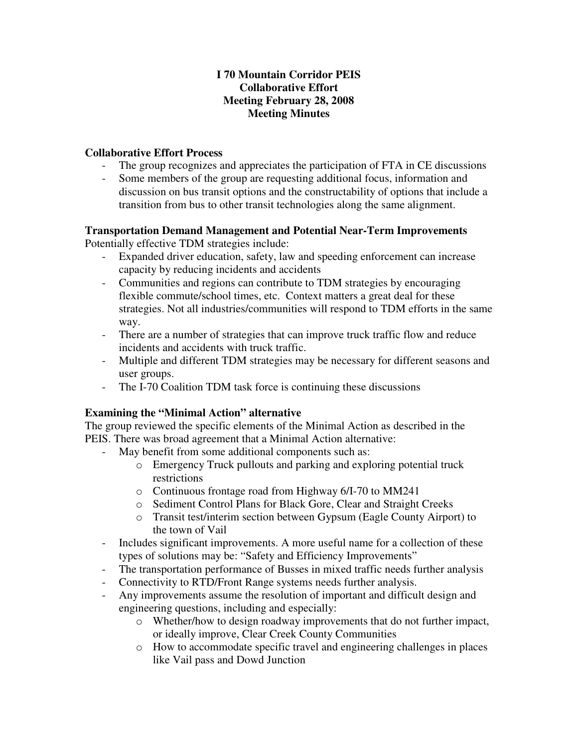## **I 70 Mountain Corridor PEIS Collaborative Effort Meeting February 28, 2008 Meeting Minutes**

## **Collaborative Effort Process**

- The group recognizes and appreciates the participation of FTA in CE discussions
- Some members of the group are requesting additional focus, information and discussion on bus transit options and the constructability of options that include a transition from bus to other transit technologies along the same alignment.

# **Transportation Demand Management and Potential Near-Term Improvements**

Potentially effective TDM strategies include:

- Expanded driver education, safety, law and speeding enforcement can increase capacity by reducing incidents and accidents
- Communities and regions can contribute to TDM strategies by encouraging flexible commute/school times, etc. Context matters a great deal for these strategies. Not all industries/communities will respond to TDM efforts in the same way.
- There are a number of strategies that can improve truck traffic flow and reduce incidents and accidents with truck traffic.
- Multiple and different TDM strategies may be necessary for different seasons and user groups.
- The I-70 Coalition TDM task force is continuing these discussions

## **Examining the "Minimal Action" alternative**

The group reviewed the specific elements of the Minimal Action as described in the PEIS. There was broad agreement that a Minimal Action alternative:

- May benefit from some additional components such as:
	- o Emergency Truck pullouts and parking and exploring potential truck restrictions
	- o Continuous frontage road from Highway 6/I-70 to MM241
	- o Sediment Control Plans for Black Gore, Clear and Straight Creeks
	- o Transit test/interim section between Gypsum (Eagle County Airport) to the town of Vail
- Includes significant improvements. A more useful name for a collection of these types of solutions may be: "Safety and Efficiency Improvements"
- The transportation performance of Busses in mixed traffic needs further analysis
- Connectivity to RTD/Front Range systems needs further analysis.
- Any improvements assume the resolution of important and difficult design and engineering questions, including and especially:
	- o Whether/how to design roadway improvements that do not further impact, or ideally improve, Clear Creek County Communities
	- o How to accommodate specific travel and engineering challenges in places like Vail pass and Dowd Junction